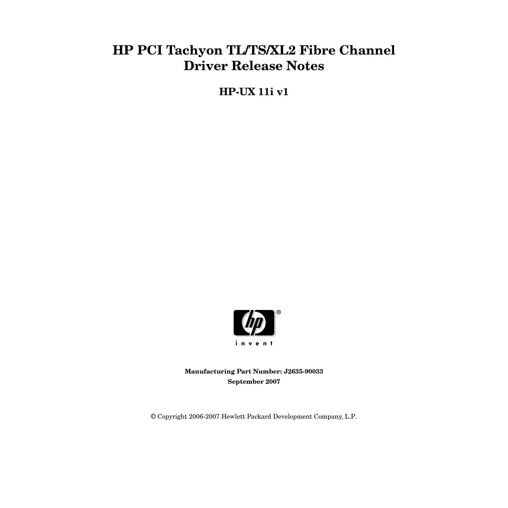# **HP PCI Tachyon TL/TS/XL2 Fibre Channel Driver Release Notes**

**HP-UX 11i v1**



**Manufacturing Part Number: J2635-90033 September 2007**

© Copyright 2006-2007 Hewlett Packard Development Company, L.P.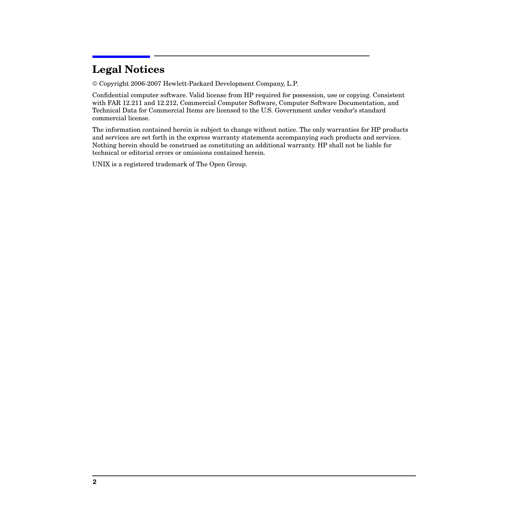## **Legal Notices**

Copyright 2006-2007 Hewlett-Packard Development Company, L.P.

Confidential computer software. Valid license from HP required for possession, use or copying. Consistent with FAR 12.211 and 12.212, Commercial Computer Software, Computer Software Documentation, and Technical Data for Commercial Items are licensed to the U.S. Government under vendor's standard commercial license.

The information contained herein is subject to change without notice. The only warranties for HP products and services are set forth in the express warranty statements accompanying such products and services. Nothing herein should be construed as constituting an additional warranty. HP shall not be liable for technical or editorial errors or omissions contained herein.

UNIX is a registered trademark of The Open Group.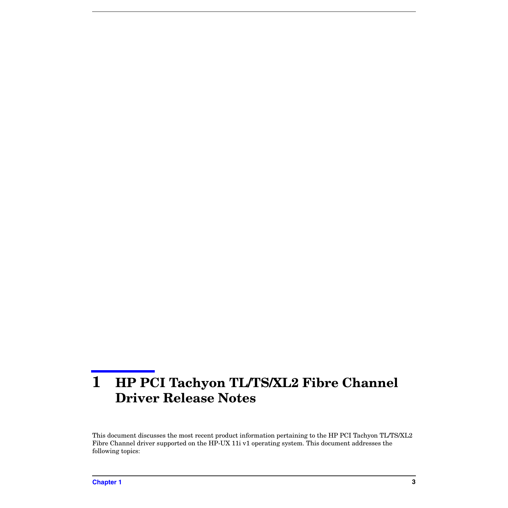# **1 HP PCI Tachyon TL/TS/XL2 Fibre Channel Driver Release Notes**

This document discusses the most recent product information pertaining to the HP PCI Tachyon TL/TS/XL2 Fibre Channel driver supported on the HP-UX 11i v1 operating system. This document addresses the following topics: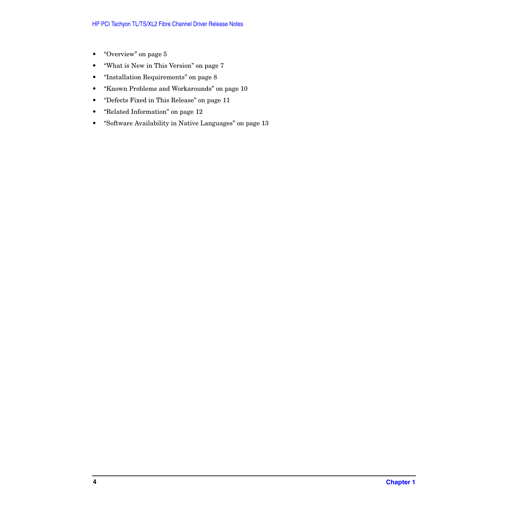- • ["Overview" on page 5](#page-4-0)
- • ["What is New in This Version" on page 7](#page-6-0)
- • ["Installation Requirements" on page 8](#page-7-0)
- • ["Known Problems and Workarounds" on page 10](#page-9-0)
- • ["Defects Fixed in This Release" on page 11](#page-10-0)
- • ["Related Information" on page 12](#page-11-0)
- • ["Software Availability in Native Languages" on page 13](#page-12-0)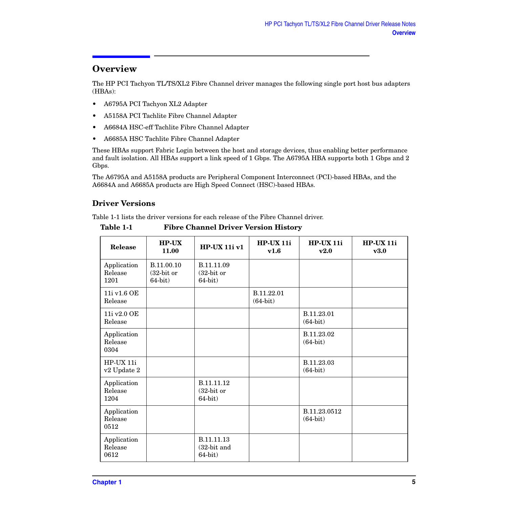#### <span id="page-4-0"></span>**Overview**

The HP PCI Tachyon TL/TS/XL2 Fibre Channel driver manages the following single port host bus adapters (HBAs):

- A6795A PCI Tachyon XL2 Adapter
- A5158A PCI Tachlite Fibre Channel Adapter
- A6684A HSC-eff Tachlite Fibre Channel Adapter
- A6685A HSC Tachlite Fibre Channel Adapter

These HBAs support Fabric Login between the host and storage devices, thus enabling better performance and fault isolation. All HBAs support a link speed of 1 Gbps. The A6795A HBA supports both 1 Gbps and 2 Gbps.

The A6795A and A5158A products are Peripheral Component Interconnect (PCI)-based HBAs, and the A6684A and A6685A products are High Speed Connect (HSC)-based HBAs.

#### **Driver Versions**

Table 1-1 lists the driver versions for each release of the Fibre Channel driver.

| Release                        | $HP-UX$<br>11.00                        | <b>HP-UX 11i v1</b>                     | $HP-UX11i$<br>v1.6       | $HP-UX11i$<br>v2.0         | $HP-UX11i$<br>v3.0 |
|--------------------------------|-----------------------------------------|-----------------------------------------|--------------------------|----------------------------|--------------------|
| Application<br>Release<br>1201 | B.11.00.10<br>$(32-bit or$<br>$64-bit)$ | B.11.11.09<br>$(32-bit or$<br>$64-bit)$ |                          |                            |                    |
| 11i v1.6 OE<br>Release         |                                         |                                         | B.11.22.01<br>$(64-bit)$ |                            |                    |
| 11i v2.0 OE<br>Release         |                                         |                                         |                          | B.11.23.01<br>$(64-bit)$   |                    |
| Application<br>Release<br>0304 |                                         |                                         |                          | B.11.23.02<br>$(64-bit)$   |                    |
| HP-UX 11i<br>v2 Update 2       |                                         |                                         |                          | B.11.23.03<br>$(64-bit)$   |                    |
| Application<br>Release<br>1204 |                                         | B.11.11.12<br>$(32-bit or$<br>$64-bit)$ |                          |                            |                    |
| Application<br>Release<br>0512 |                                         |                                         |                          | B.11.23.0512<br>$(64-bit)$ |                    |
| Application<br>Release<br>0612 |                                         | B.11.11.13<br>(32-bit and<br>$64-bit)$  |                          |                            |                    |

**Table 1-1 Fibre Channel Driver Version History**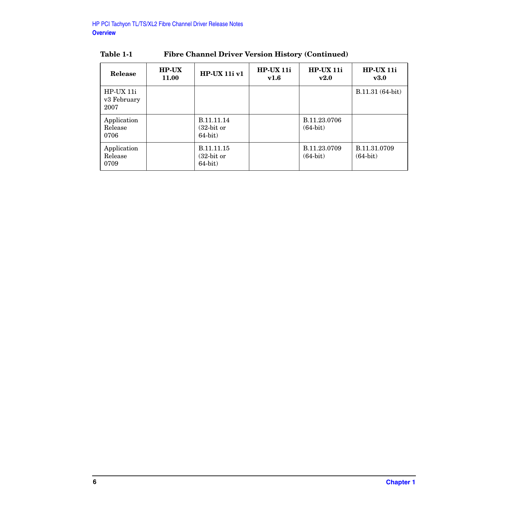| Release                          | <b>HP-UX</b><br><b>11.00</b> | $HP-UX 11i v1$                          | $HP-UX 11i$<br>v1.6 | $HP-UX11i$<br>v2.0         | $HP-UX 11i$<br>$\mathbf{v3.0}$ |
|----------------------------------|------------------------------|-----------------------------------------|---------------------|----------------------------|--------------------------------|
| HP-UX 11i<br>v3 February<br>2007 |                              |                                         |                     |                            | B.11.31 (64-bit)               |
| Application<br>Release<br>0706   |                              | B.11.11.14<br>$(32-bit or$<br>$64-bit)$ |                     | B.11.23.0706<br>$(64-bit)$ |                                |
| Application<br>Release<br>0709   |                              | B.11.11.15<br>$(32-bit or$<br>$64-bit)$ |                     | B.11.23.0709<br>$(64-bit)$ | B.11.31.0709<br>$(64-bit)$     |

#### **Table 1-1 Fibre Channel Driver Version History (Continued)**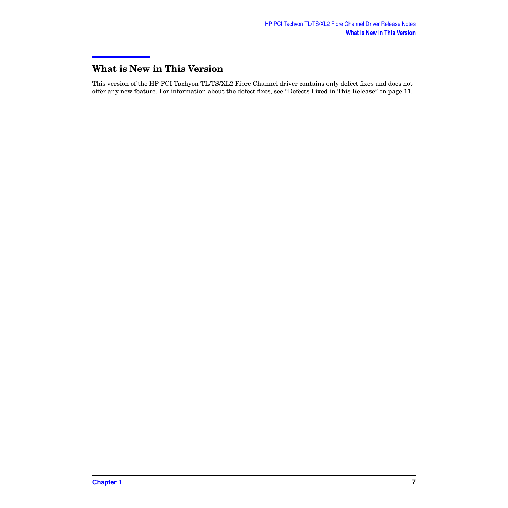#### <span id="page-6-0"></span>**What is New in This Version**

This version of the HP PCI Tachyon TL/TS/XL2 Fibre Channel driver contains only defect fixes and does not offer any new feature. For information about the defect fixes, see ["Defects Fixed in This Release" on page 11.](#page-10-0)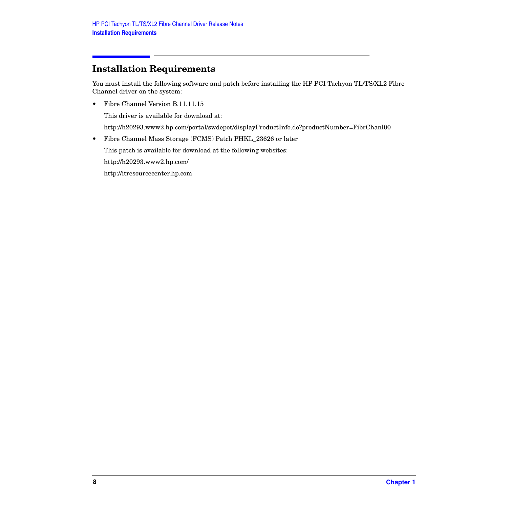## <span id="page-7-0"></span>**Installation Requirements**

You must install the following software and patch before installing the HP PCI Tachyon TL/TS/XL2 Fibre Channel driver on the system:

• Fibre Channel Version B.11.11.15

This driver is available for download at:

http://h20293.www2.hp.com/portal/swdepot/displayProductInfo.do?productNumber=FibrChanl00

• Fibre Channel Mass Storage (FCMS) Patch PHKL\_23626 or later

This patch is available for download at the following websites:

http://h20293.www2.hp.com/

http://itresourcecenter.hp.com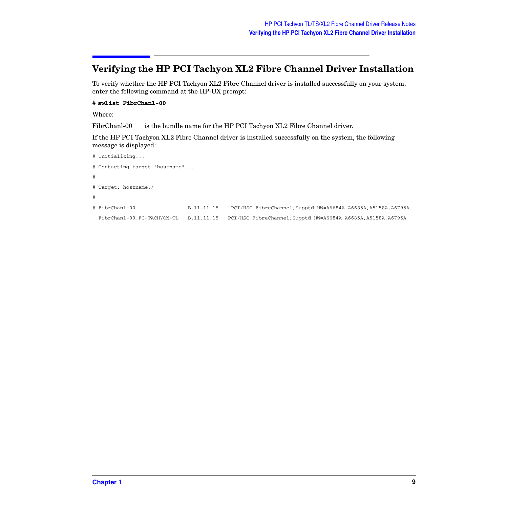#### **Verifying the HP PCI Tachyon XL2 Fibre Channel Driver Installation**

To verify whether the HP PCI Tachyon XL2 Fibre Channel driver is installed successfully on your system, enter the following command at the HP-UX prompt:

#### # **swlist FibrChanl-00**

Where:

FibrChanl-00 is the bundle name for the HP PCI Tachyon XL2 Fibre Channel driver.

If the HP PCI Tachyon XL2 Fibre Channel driver is installed successfully on the system, the following message is displayed:

```
# Initializing...
# Contacting target "hostname"...
#
# Target: hostname:/
#
# FibrChanl-00 B.11.11.15 PCI/HSC FibreChannel;Supptd HW=A6684A,A6685A,A5158A,A6795A
 FibrChanl-00.FC-TACHYON-TL B.11.11.15 PCI/HSC FibreChannel;Supptd HW=A6684A,A6685A,A5158A,A6795A
```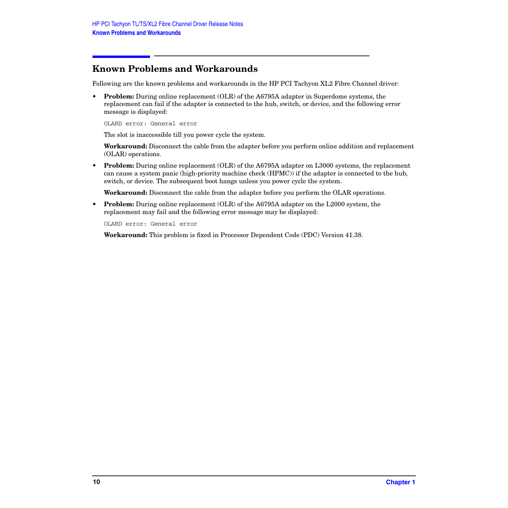#### <span id="page-9-0"></span>**Known Problems and Workarounds**

Following are the known problems and workarounds in the HP PCI Tachyon XL2 Fibre Channel driver:

• **Problem:** During online replacement (OLR) of the A6795A adapter in Superdome systems, the replacement can fail if the adapter is connected to the hub, switch, or device, and the following error message is displayed:

OLARD error: General error

The slot is inaccessible till you power cycle the system.

**Workaround:** Disconnect the cable from the adapter before you perform online addition and replacement (OLAR) operations.

• **Problem:** During online replacement (OLR) of the A6795A adapter on L3000 systems, the replacement can cause a system panic (high-priority machine check (HPMC)) if the adapter is connected to the hub, switch, or device. The subsequent boot hangs unless you power cycle the system.

**Workaround:** Disconnect the cable from the adapter before you perform the OLAR operations.

• **Problem:** During online replacement (OLR) of the A6795A adapter on the L2000 system, the replacement may fail and the following error message may be displayed:

OLARD error: General error

**Workaround:** This problem is fixed in Processor Dependent Code (PDC) Version 41.38.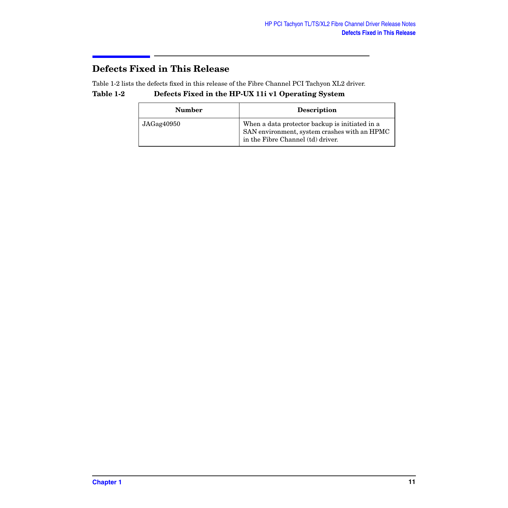#### <span id="page-10-0"></span>**Defects Fixed in This Release**

Table 1-2 lists the defects fixed in this release of the Fibre Channel PCI Tachyon XL2 driver.

#### **Table 1-2 Defects Fixed in the HP-UX 11i v1 Operating System**

| <b>Number</b> | <b>Description</b>                                                                                                                  |
|---------------|-------------------------------------------------------------------------------------------------------------------------------------|
| JAGag40950    | When a data protector backup is initiated in a<br>SAN environment, system crashes with an HPMC<br>in the Fibre Channel (td) driver. |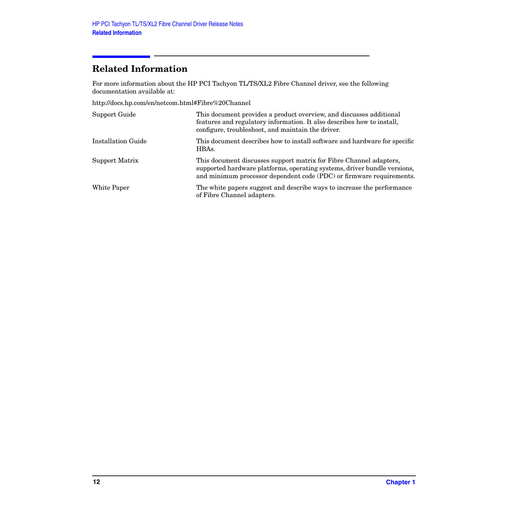### <span id="page-11-0"></span>**Related Information**

For more information about the HP PCI Tachyon TL/TS/XL2 Fibre Channel driver, see the following documentation available at:

http://docs.hp.com/en/netcom.html#Fibre%20Channel

| Support Guide      | This document provides a product overview, and discusses additional<br>features and regulatory information. It also describes how to install,<br>configure, troubleshoot, and maintain the driver.                     |
|--------------------|------------------------------------------------------------------------------------------------------------------------------------------------------------------------------------------------------------------------|
| Installation Guide | This document describes how to install software and hardware for specific<br>HBAs.                                                                                                                                     |
| Support Matrix     | This document discusses support matrix for Fibre Channel adapters,<br>supported hardware platforms, operating systems, driver bundle versions,<br>and minimum processor dependent code (PDC) or firmware requirements. |
| White Paper        | The white papers suggest and describe ways to increase the performance<br>of Fibre Channel adapters.                                                                                                                   |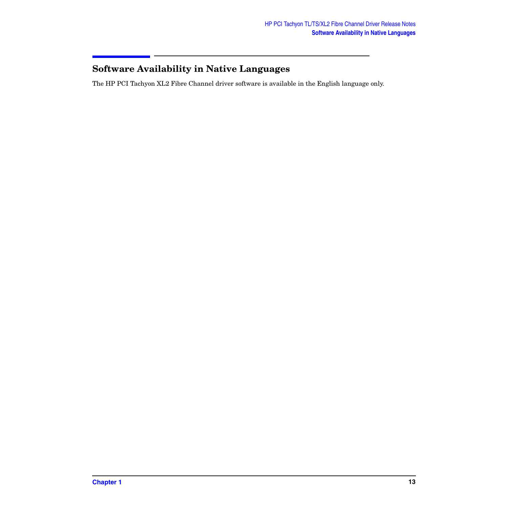## <span id="page-12-0"></span>**Software Availability in Native Languages**

The HP PCI Tachyon XL2 Fibre Channel driver software is available in the English language only.